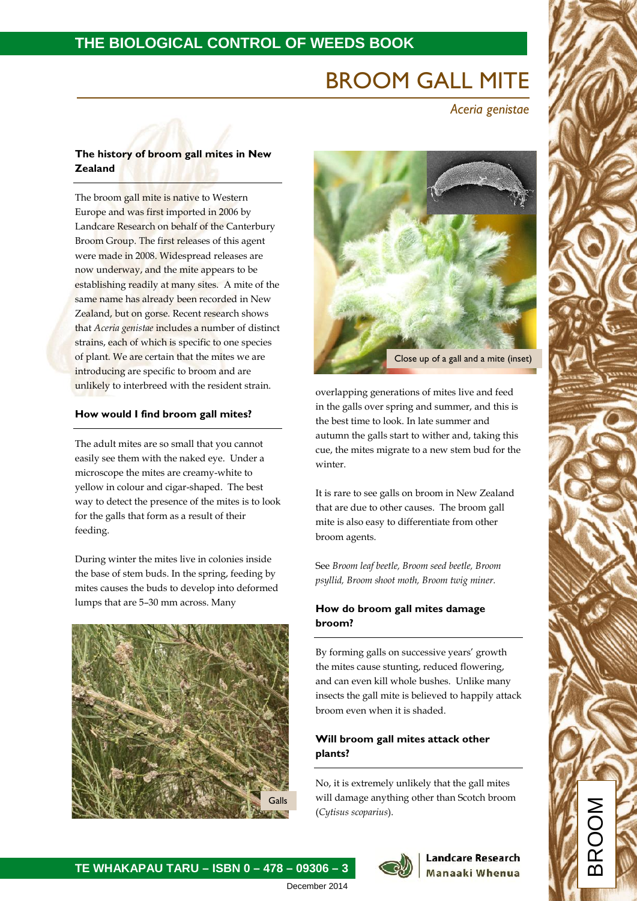# **THE BIOLOGICAL CONTROL OF WEEDS BOOK**

# BROOM GALL MITE

*Aceria genistae*

# **The history of broom gall mites in New Zealand**

The broom gall mite is native to Western Europe and was first imported in 2006 by Landcare Research on behalf of the Canterbury Broom Group. The first releases of this agent were made in 2008. Widespread releases are now underway, and the mite appears to be establishing readily at many sites. A mite of the same name has already been recorded in New Zealand, but on gorse. Recent research shows that *Aceria genistae* includes a number of distinct strains, each of which is specific to one species of plant. We are certain that the mites we are introducing are specific to broom and are unlikely to interbreed with the resident strain.

## **How would I find broom gall mites?**

The adult mites are so small that you cannot easily see them with the naked eye. Under a microscope the mites are creamy-white to yellow in colour and cigar-shaped. The best way to detect the presence of the mites is to look for the galls that form as a result of their feeding.

During winter the mites live in colonies inside the base of stem buds. In the spring, feeding by mites causes the buds to develop into deformed lumps that are 5–30 mm across. Many



**TE WHAKAPAU TARU – ISBN 0 – 478 – 09306 – 3**



overlapping generations of mites live and feed in the galls over spring and summer, and this is the best time to look. In late summer and autumn the galls start to wither and, taking this cue, the mites migrate to a new stem bud for the winter.

It is rare to see galls on broom in New Zealand that are due to other causes. The broom gall mite is also easy to differentiate from other broom agents.

See *Broom leaf beetle, Broom seed beetle, Broom psyllid, Broom shoot moth, Broom twig miner.*

# **How do broom gall mites damage broom?**

By forming galls on successive years' growth the mites cause stunting, reduced flowering, and can even kill whole bushes. Unlike many insects the gall mite is believed to happily attack broom even when it is shaded.

# **Will broom gall mites attack other plants?**

No, it is extremely unlikely that the gall mites will damage anything other than Scotch broom (*Cytisus scoparius*).



#### **Landcare Research** Manaaki Whenua

December 2014